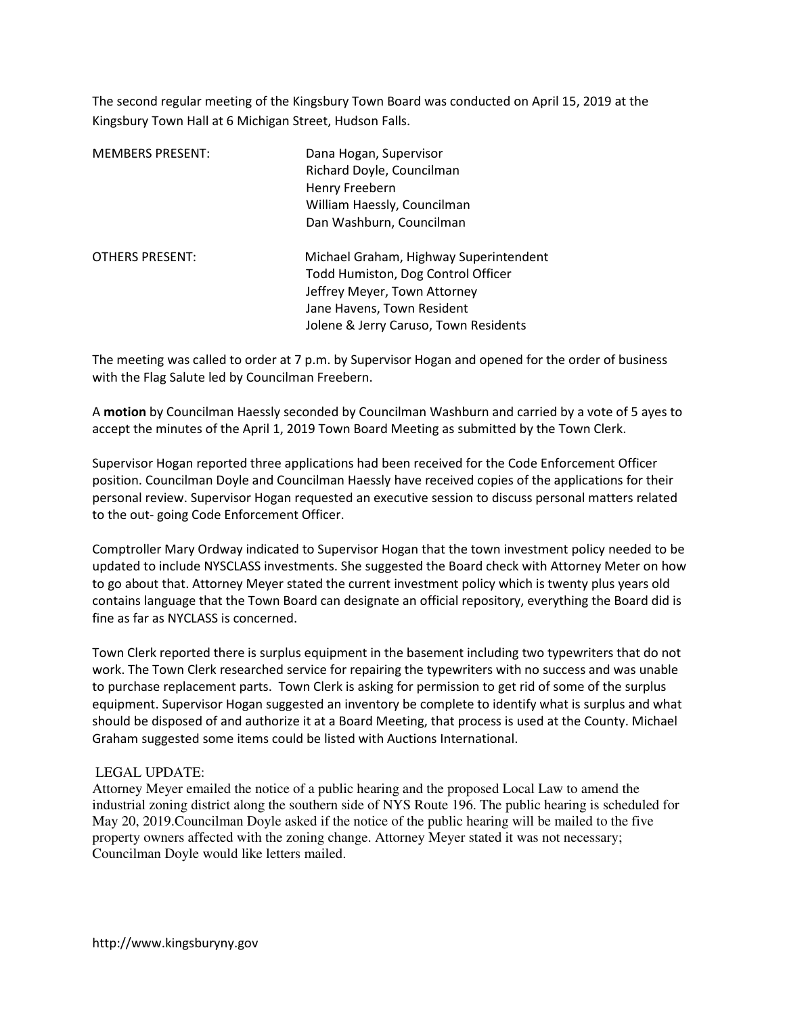The second regular meeting of the Kingsbury Town Board was conducted on April 15, 2019 at the Kingsbury Town Hall at 6 Michigan Street, Hudson Falls.

| <b>MEMBERS PRESENT:</b> | Dana Hogan, Supervisor<br>Richard Doyle, Councilman<br>Henry Freebern<br>William Haessly, Councilman<br>Dan Washburn, Councilman                                                    |
|-------------------------|-------------------------------------------------------------------------------------------------------------------------------------------------------------------------------------|
| <b>OTHERS PRESENT:</b>  | Michael Graham, Highway Superintendent<br>Todd Humiston, Dog Control Officer<br>Jeffrey Meyer, Town Attorney<br>Jane Havens, Town Resident<br>Jolene & Jerry Caruso, Town Residents |

The meeting was called to order at 7 p.m. by Supervisor Hogan and opened for the order of business with the Flag Salute led by Councilman Freebern.

A motion by Councilman Haessly seconded by Councilman Washburn and carried by a vote of 5 ayes to accept the minutes of the April 1, 2019 Town Board Meeting as submitted by the Town Clerk.

Supervisor Hogan reported three applications had been received for the Code Enforcement Officer position. Councilman Doyle and Councilman Haessly have received copies of the applications for their personal review. Supervisor Hogan requested an executive session to discuss personal matters related to the out- going Code Enforcement Officer.

Comptroller Mary Ordway indicated to Supervisor Hogan that the town investment policy needed to be updated to include NYSCLASS investments. She suggested the Board check with Attorney Meter on how to go about that. Attorney Meyer stated the current investment policy which is twenty plus years old contains language that the Town Board can designate an official repository, everything the Board did is fine as far as NYCLASS is concerned.

Town Clerk reported there is surplus equipment in the basement including two typewriters that do not work. The Town Clerk researched service for repairing the typewriters with no success and was unable to purchase replacement parts. Town Clerk is asking for permission to get rid of some of the surplus equipment. Supervisor Hogan suggested an inventory be complete to identify what is surplus and what should be disposed of and authorize it at a Board Meeting, that process is used at the County. Michael Graham suggested some items could be listed with Auctions International.

### LEGAL UPDATE:

Attorney Meyer emailed the notice of a public hearing and the proposed Local Law to amend the industrial zoning district along the southern side of NYS Route 196. The public hearing is scheduled for May 20, 2019.Councilman Doyle asked if the notice of the public hearing will be mailed to the five property owners affected with the zoning change. Attorney Meyer stated it was not necessary; Councilman Doyle would like letters mailed.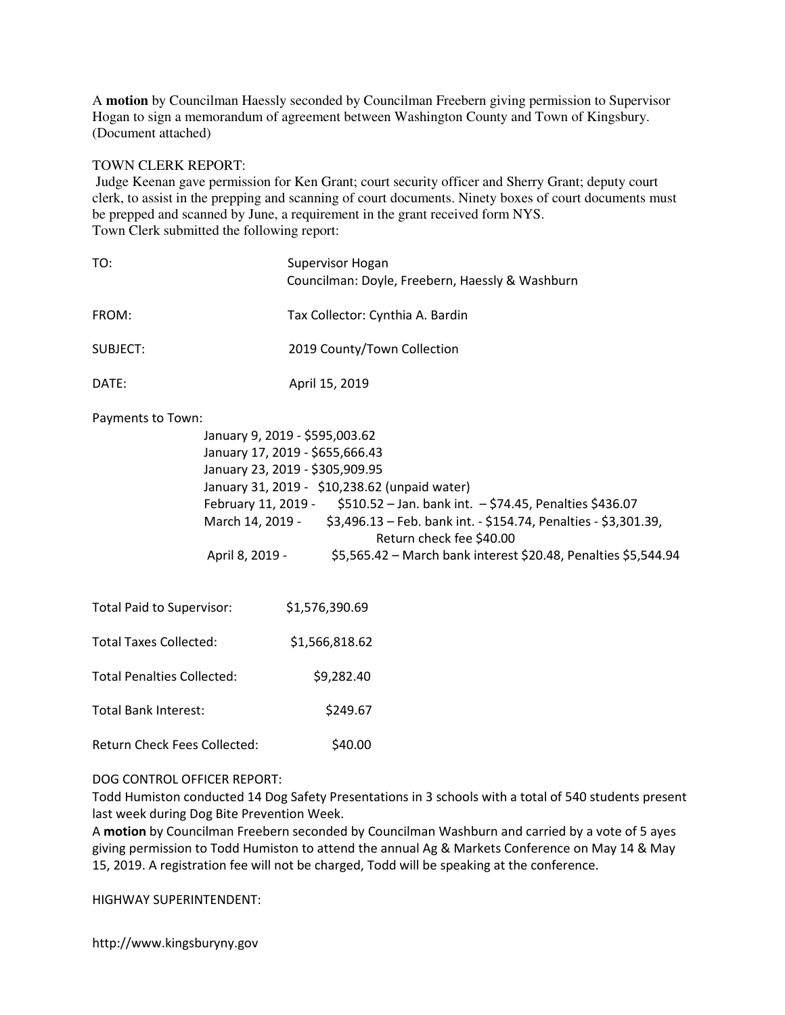A **motion** by Councilman Haessly seconded by Councilman Freebern giving permission to Supervisor Hogan to sign a memorandum of agreement between Washington County and Town of Kingsbury. (Document attached)

#### TOWN CLERK REPORT:

 Judge Keenan gave permission for Ken Grant; court security officer and Sherry Grant; deputy court clerk, to assist in the prepping and scanning of court documents. Ninety boxes of court documents must be prepped and scanned by June, a requirement in the grant received form NYS. Town Clerk submitted the following report:

| TO:                                                                                                                                                                                                                                                                                                                                                                                                                                                            | Supervisor Hogan<br>Councilman: Doyle, Freebern, Haessly & Washburn |
|----------------------------------------------------------------------------------------------------------------------------------------------------------------------------------------------------------------------------------------------------------------------------------------------------------------------------------------------------------------------------------------------------------------------------------------------------------------|---------------------------------------------------------------------|
| FROM:                                                                                                                                                                                                                                                                                                                                                                                                                                                          | Tax Collector: Cynthia A. Bardin                                    |
| <b>SUBJECT:</b>                                                                                                                                                                                                                                                                                                                                                                                                                                                | 2019 County/Town Collection                                         |
| DATE:                                                                                                                                                                                                                                                                                                                                                                                                                                                          | April 15, 2019                                                      |
| Payments to Town:<br>January 9, 2019 - \$595,003.62<br>January 17, 2019 - \$655,666.43<br>January 23, 2019 - \$305,909.95<br>January 31, 2019 - \$10,238.62 (unpaid water)<br>February 11, 2019 - \$510.52 - Jan. bank int. - \$74.45, Penalties \$436.07<br>March 14, 2019 - \$3,496.13 - Feb. bank int. - \$154.74, Penalties - \$3,301.39,<br>Return check fee \$40.00<br>April 8, 2019 -<br>\$5,565.42 - March bank interest \$20.48, Penalties \$5,544.94 |                                                                     |
| <b>Total Paid to Supervisor:</b>                                                                                                                                                                                                                                                                                                                                                                                                                               | \$1,576,390.69                                                      |
| <b>Total Taxes Collected:</b>                                                                                                                                                                                                                                                                                                                                                                                                                                  | \$1,566,818.62                                                      |
| <b>Total Penalties Collected:</b>                                                                                                                                                                                                                                                                                                                                                                                                                              | \$9,282.40                                                          |
| <b>Total Bank Interest:</b>                                                                                                                                                                                                                                                                                                                                                                                                                                    | \$249.67                                                            |
| Return Check Fees Collected:                                                                                                                                                                                                                                                                                                                                                                                                                                   | \$40.00                                                             |

DOG CONTROL OFFICER REPORT:

Todd Humiston conducted 14 Dog Safety Presentations in 3 schools with a total of 540 students present last week during Dog Bite Prevention Week.

A motion by Councilman Freebern seconded by Councilman Washburn and carried by a vote of 5 ayes giving permission to Todd Humiston to attend the annual Ag & Markets Conference on May 14 & May 15, 2019. A registration fee will not be charged, Todd will be speaking at the conference.

HIGHWAY SUPERINTENDENT:

http://www.kingsburyny.gov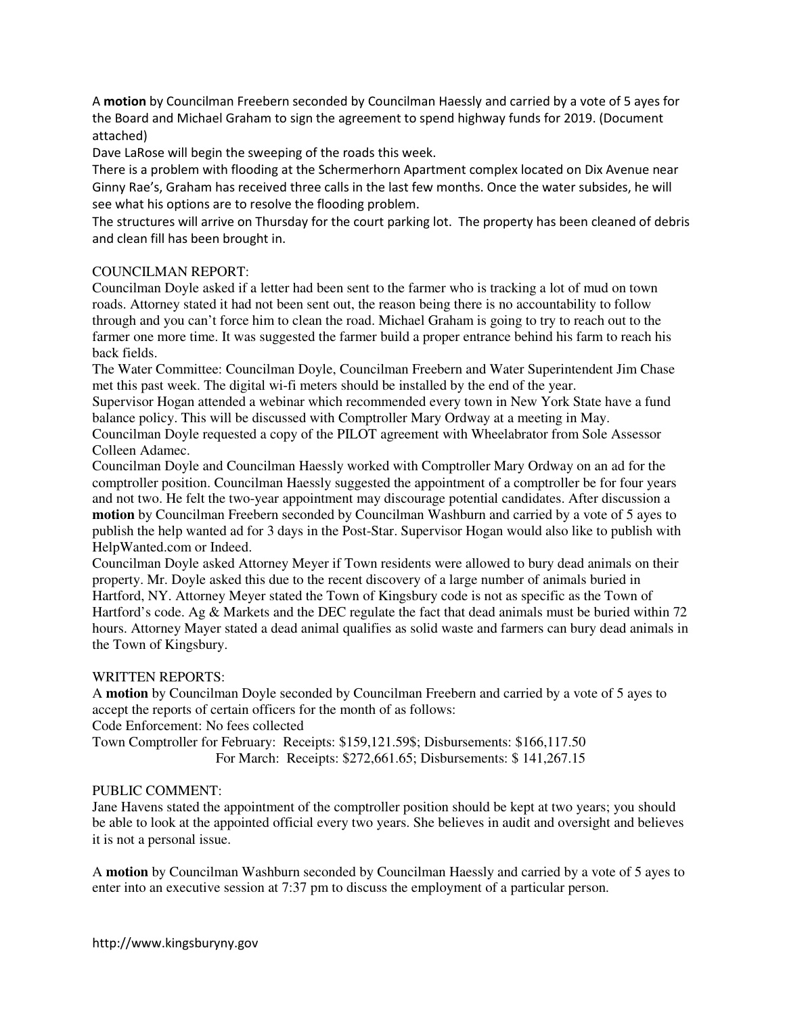A motion by Councilman Freebern seconded by Councilman Haessly and carried by a vote of 5 ayes for the Board and Michael Graham to sign the agreement to spend highway funds for 2019. (Document attached)

Dave LaRose will begin the sweeping of the roads this week.

There is a problem with flooding at the Schermerhorn Apartment complex located on Dix Avenue near Ginny Rae's, Graham has received three calls in the last few months. Once the water subsides, he will see what his options are to resolve the flooding problem.

The structures will arrive on Thursday for the court parking lot. The property has been cleaned of debris and clean fill has been brought in.

## COUNCILMAN REPORT:

Councilman Doyle asked if a letter had been sent to the farmer who is tracking a lot of mud on town roads. Attorney stated it had not been sent out, the reason being there is no accountability to follow through and you can't force him to clean the road. Michael Graham is going to try to reach out to the farmer one more time. It was suggested the farmer build a proper entrance behind his farm to reach his back fields.

The Water Committee: Councilman Doyle, Councilman Freebern and Water Superintendent Jim Chase met this past week. The digital wi-fi meters should be installed by the end of the year.

Supervisor Hogan attended a webinar which recommended every town in New York State have a fund balance policy. This will be discussed with Comptroller Mary Ordway at a meeting in May.

Councilman Doyle requested a copy of the PILOT agreement with Wheelabrator from Sole Assessor Colleen Adamec.

Councilman Doyle and Councilman Haessly worked with Comptroller Mary Ordway on an ad for the comptroller position. Councilman Haessly suggested the appointment of a comptroller be for four years and not two. He felt the two-year appointment may discourage potential candidates. After discussion a **motion** by Councilman Freebern seconded by Councilman Washburn and carried by a vote of 5 ayes to publish the help wanted ad for 3 days in the Post-Star. Supervisor Hogan would also like to publish with HelpWanted.com or Indeed.

Councilman Doyle asked Attorney Meyer if Town residents were allowed to bury dead animals on their property. Mr. Doyle asked this due to the recent discovery of a large number of animals buried in Hartford, NY. Attorney Meyer stated the Town of Kingsbury code is not as specific as the Town of Hartford's code. Ag & Markets and the DEC regulate the fact that dead animals must be buried within 72 hours. Attorney Mayer stated a dead animal qualifies as solid waste and farmers can bury dead animals in the Town of Kingsbury.

### WRITTEN REPORTS:

A **motion** by Councilman Doyle seconded by Councilman Freebern and carried by a vote of 5 ayes to accept the reports of certain officers for the month of as follows:

Code Enforcement: No fees collected

Town Comptroller for February: Receipts: \$159,121.59\$; Disbursements: \$166,117.50 For March: Receipts: \$272,661.65; Disbursements: \$ 141,267.15

# PUBLIC COMMENT:

Jane Havens stated the appointment of the comptroller position should be kept at two years; you should be able to look at the appointed official every two years. She believes in audit and oversight and believes it is not a personal issue.

A **motion** by Councilman Washburn seconded by Councilman Haessly and carried by a vote of 5 ayes to enter into an executive session at 7:37 pm to discuss the employment of a particular person.